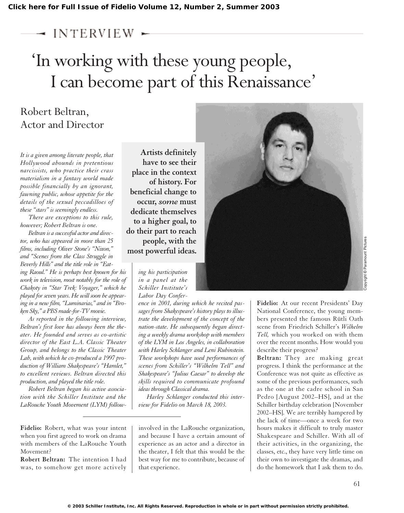## $\rightarrow$  interview.

## 'In working with these young people, I can become part of this Renaissance'

## Robert Beltran, Actor and Director

*It is a given among literate people, that Hollywood abounds in pretentious narcissists, who practice their crass materialism in a fantasy world made possible financially by an ignorant, fawning public, whose appetite for the details of the sexual peccadilloes of these "stars" is seemingly endless.*

*There are exceptions to this rule, however; Robert Beltran is one.*

*Beltran is a successful actor and director, who has appeared in more than 25 films, including Oliver Stone's "Nixon," and "Scenes from the Class Struggle in Beverly Hills" and the title role in "Eating Raoul." He is perhaps best known for his work in television, most notably for the role of Chakoty in "Star Trek: Voyager," which he played for seven years. He will soon be appearing in a new film, "Luminarias," and in "Broken Sky," a PBS made-for-TV movie.*

*As reported in the following interview, Beltran's first love has always been the theater. He founded and serves as co-artistic director of the East L.A. Classic Theater Group, and belongs to the Classic Theater Lab, with which he co-produced a 1997 production of William Shakespeare's "Hamlet," to excellent reviews. Beltran directed this production, and played the title role.*

*Robert Beltran began his active association with the Schiller Institute and the LaRouche Youth Movement (LYM) follow-*

**Fidelio:** Robert, what was your intent when you first agreed to work on drama with members of the LaRouche Youth Movement?

**Robert Beltran:** The intention I had was, to somehow get more actively

**Artists definitely have to see their place in the context of history. For beneficial change to occur,** *some* **must dedicate themselves to a higher goal, to do their part to reach people, with the most powerful ideas.**

> *ing his participation in a panel at the Schiller Institute's Labor Day Confer-*

*ence in 2001, during which he recited passages from Shakespeare's history plays to illustrate the development of the concept of the nation-state. He subsequently began directing a weekly drama workshop with members of the LYM in Los Angeles, in collaboration with Harley Schlanger and Leni Rubinstein. These workshops have used performances of scenes from Schiller's "Wilhelm Tell" and Shakespeare's "Julius Caesar" to develop the skills required to communicate profound ideas through Classical drama.*

*Harley Schlanger conducted this interview for Fidelio on March 18, 2003.*

involved in the LaRouche organization, and because I have a certain amount of experience as an actor and a director in the theater, I felt that this would be the best way for me to contribute, because of that experience.



**Fidelio:** At our recent Presidents' Day National Conference, the young members presented the famous Rütli Oath scene from Friedrich Schiller's *Wilhelm Tell,* which you worked on with them over the recent months. How would you describe their progress?

**Beltran:** They are making great progress. I think the performance at the Conference was not quite as effective as some of the previous performances, such as the one at the cadre school in San Pedro [August 2002–HS], and at the Schiller birthday celebration [November 2002–HS]. We are terribly hampered by the lack of time—once a week for two hours makes it difficult to truly master Shakespeare and Schiller. With all of their activities, in the organizing, the classes, etc., they have very little time on their own to investigate the dramas, and do the homework that I ask them to do.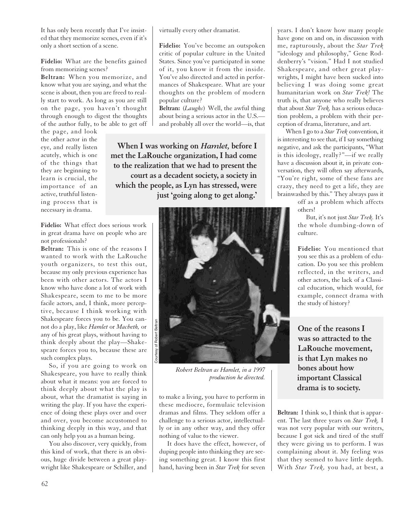It has only been recently that I've insisted that they memorize scenes, even if it's only a short section of a scene.

**Fidelio:** What are the benefits gained from memorizing scenes?

**Beltran:** When you memorize, and know what you are saying, and what the scene is about, then you are freed to really start to work. As long as you are still on the page, you haven't thought through enough to digest the thoughts of the author fully, to be able to get off

the page, and look the other actor in the eye, and really listen acutely, which is one of the things that they are beginning to learn is crucial, the importance of an active, truthful listening process that is necessary in drama.

**Fidelio:** What effect does serious work in great drama have on people who are not professionals?

**Beltran:** This is one of the reasons I wanted to work with the LaRouche youth organizers, to test this out, because my only previous experience has been with other actors. The actors I know who have done a lot of work with Shakespeare, seem to me to be more facile actors, and, I think, more perceptive, because I think working with Shakespeare forces you to be. You cannot do a play, like *Hamlet* or *Macbeth,* or any of his great plays, without having to think deeply about the play—Shakespeare forces you to, because these are such complex plays.

So, if you are going to work on Shakespeare, you have to really think about what it means: you are forced to think deeply about what the play is about, what the dramatist is saying in writing the play. If you have the experience of doing these plays over and over and over, you become accustomed to thinking deeply in this way, and that can only help you as a human being.

You also discover, very quickly, from this kind of work, that there is an obvious, huge divide between a great playwright like Shakespeare or Schiller, and

virtually every other dramatist.

**Fidelio:** You've become an outspoken critic of popular culture in the United States. Since you've participated in some of it, you know it from the inside. You've also directed and acted in performances of Shakespeare. What are your thoughts on the problem of modern popular culture?

**Beltran:** (*Laughs*) Well, the awful thing about being a serious actor in the U.S. and probably all over the world—is, that

**When I was working on** *Hamlet,* **before I met the LaRouche organization, I had come to the realization that we had to present the court as a decadent society, a society in which the people, as Lyn has stressed, were just 'going along to get along.'**



*Robert Beltran as Hamlet, in a 1997 production he directed.*

to make a living, you have to perform in these mediocre, formulaic television dramas and films. They seldom offer a challenge to a serious actor, intellectually or in any other way, and they offer nothing of value to the viewer.

It does have the effect, however, of duping people into thinking they are seeing something great. I know this first hand, having been in *Star Trek* for seven

years. I don't know how many people have gone on and on, in discussion with me, rapturously, about the *Star Trek* "ideology and philosophy," Gene Roddenberry's "vision." Had I not studied Shakespeare, and other great playwrights, I might have been sucked into believing I was doing some great humanitarian work on *Star Trek!* The truth is, that anyone who really believes that about *Star Trek,* has a serious education problem, a problem with their perception of drama, literature, and art.

When I go to a *Star Trek* convention, it is interesting to see that, if I say something negative, and ask the participants, "What is this ideology, really?"—if we really have a discussion about it, in private conversation, they will often say afterwards, "You're right, some of these fans are crazy, they need to get a life, they are brainwashed by this." They always pass it

> off as a problem which affects others!

But, it's not just *Star Trek.* It's the whole dumbing-down of culture.

**Fidelio:** You mentioned that you see this as a problem of education. Do you see this problem reflected, in the writers, and other actors, the lack of a Classical education, which would, for example, connect drama with the study of history?

**One of the reasons I was so attracted to the LaRouche movement, is that Lyn makes no bones about how important Classical drama is to society.** 

**Beltran:** I think so, I think that is apparent. The last three years on *Star Trek,* I was not very popular with our writers, because I got sick and tired of the stuff they were giving us to perform. I was complaining about it. My feeling was that they seemed to have little depth. With *Star Trek,* you had, at best, a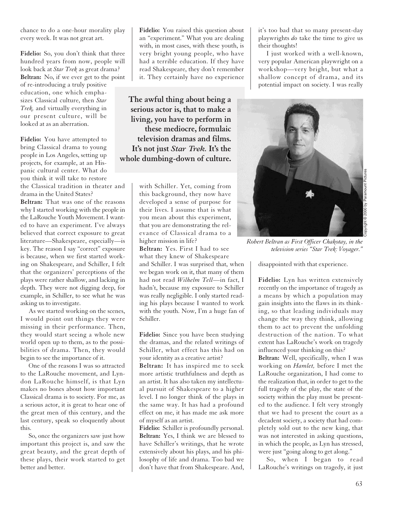chance to do a one-hour morality play every week. It was not great art.

Fidelio: So, you don't think that three hundred years from now, people will look back at *Star Trek* as great drama? **Beltran:** No, if we ever get to the point of re-introducing a truly positive education, one which emphasizes Classical culture, then *Star Trek,* and virtually everything in our present culture, will be looked at as an aberration.

**Fidelio:** You have attempted to bring Classical drama to young people in Los Angeles, setting up projects, for example, at an Hispanic cultural center. What do you think it will take to restore the Classical tradition in theater and drama in the United States?

**Beltran:** That was one of the reasons why I started working with the people in the LaRouche Youth Movement. I wanted to have an experiment. I've always believed that correct exposure to great literature—Shakespeare, especially—is key. The reason I say "correct" exposure is because, when we first started working on Shakespeare, and Schiller, I felt that the organizers' perceptions of the plays were rather shallow, and lacking in depth. They were not digging deep, for example, in Schiller, to see what he was asking us to investigate.

As we started working on the scenes, I would point out things they were missing in their performance. Then, they would start seeing a whole new world open up to them, as to the possibilities of drama. Then, they would begin to see the importance of it.

One of the reasons I was so attracted to the LaRouche movement, and Lyndon LaRouche himself, is that Lyn makes no bones about how important Classical drama is to society. For me, as a serious actor, it is great to hear one of the great men of this century, and the last century, speak so eloquently about this.

So, once the organizers saw just how important this project is, and saw the great beauty, and the great depth of these plays, their work started to get better and better.

**Fidelio:** You raised this question about an "experiment." What you are dealing with, in most cases, with these youth, is very bright young people, who have had a terrible education. If they have read Shakespeare, they don't remember it. They certainly have no experience

**The awful thing about being a serious actor is, that to make a living, you have to perform in these mediocre, formulaic television dramas and films. It's not just** *Star Trek.* **It's the whole dumbing-down of culture.**

> with Schiller. Yet, coming from this background, they now have developed a sense of purpose for their lives. I assume that is what you mean about this experiment, that you are demonstrating the relevance of Classical drama to a higher mission in life?

**Beltran:** Yes. First I had to see what they knew of Shakespeare and Schiller. I was surprised that, when we began work on it, that many of them had not read *Wilhelm Tell*—in fact, I hadn't, because my exposure to Schiller was really negligible. I only started reading his plays because I wanted to work with the youth. Now, I'm a huge fan of Schiller.

**Fidelio:** Since you have been studying the dramas, and the related writings of Schiller, what effect has this had on your identity as a creative artist?

**Beltran:** It has inspired me to seek more artistic truthfulness and depth as an artist. It has also taken my intellectual pursuit of Shakespeare to a higher level. I no longer think of the plays in the same way. It has had a profound effect on me, it has made me ask more of myself as an artist.

**Fidelio:** Schiller is profoundly personal. **Beltran:** Yes, I think we are blessed to have Schiller's writings, that he wrote extensively about his plays, and his philosophy of life and drama. Too bad we don't have that from Shakespeare. And,

it's too bad that so many present-day playwrights *do* take the time to give us their thoughts!

I just worked with a well-known, very popular American playwright on a workshop—very bright, but what a shallow concept of drama, and its potential impact on society. I was really



*Robert Beltran as First Officer Chakotay, in the television series "Star Trek: Voyager."*

disappointed with that experience.

**Fidelio:** Lyn has written extensively recently on the importance of tragedy as a means by which a population may gain insights into the flaws in its thinking, so that leading individuals may change the way they think, allowing them to act to prevent the unfolding destruction of the nation. To what extent has LaRouche's work on tragedy influenced your thinking on this?

**Beltran:** Well, specifically, when I was working on *Hamlet,* before I met the LaRouche organization, I had come to the realization that, in order to get to the full tragedy of the play, the state of the society within the play must be presented to the audience. I felt very strongly that we had to present the court as a decadent society, a society that had completely sold out to the new king, that was not interested in asking questions, in which the people, as Lyn has stressed, were just "going along to get along."

So, when I began to read LaRouche's writings on tragedy, it just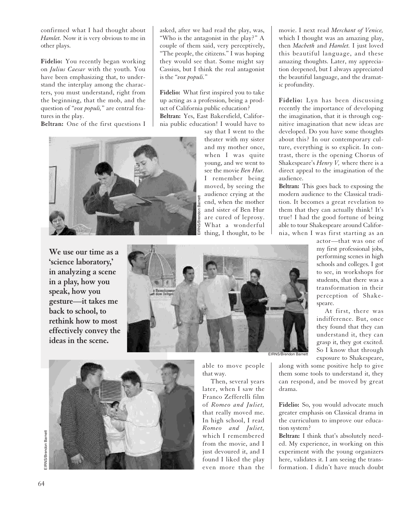confirmed what I had thought about *Hamlet.* Now it is very obvious to me in other plays.

**Fidelio:** You recently began working on *Julius Caesar* with the youth. You have been emphasizing that, to understand the interplay among the characters, you must understand, right from the beginning, that the mob, and the question of "*vox populi,*" are central features in the play.

**Beltran:** One of the first questions I

asked, after we had read the play, was, "Who is the antagonist in the play?" A couple of them said, very perceptively, "The people, the citizens." I was hoping they would see that. Some might say Cassius, but I think the real antagonist is the "*vox populi.*"

**Fidelio:** What first inspired you to take up acting as a profession, being a product of California public education? **Beltran:** Yes, East Bakersfield, California public education! I would have to say that I went to the

> theater with my sister and my mother once, when I was quite young, and we went to see the movie *Ben Hur.* I remember being moved, by seeing the audience crying at the end, when the mother and sister of Ben Hur are cured of leprosy. What a wonderful thing, I thought, to be



**We use our time as a 'science laboratory,' in analyzing a scene in a play, how you speak, how you gesture—it takes me back to school, to rethink how to most effectively convey the ideas in the scene.** 





able to move people that way.

Then, several years later, when I saw the Franco Zefferelli film of *Romeo and Juliet,* that really moved me. In high school, I read *Romeo and Juliet,* which I remembered from the movie, and I just devoured it, and I found I liked the play even more than the movie. I next read *Merchant of Venice,* which I thought was an amazing play, then *Macbeth* and *Hamlet.* I just loved this beautiful language, and these amazing thoughts. Later, my appreciation deepened, but I always appreciated the beautiful language, and the dramatic profundity.

**Fidelio:** Lyn has been discussing recently the importance of developing the imagination, that it is through cognitive imagination that new ideas are developed. Do you have some thoughts about this? In our contemporary culture, everything is so explicit. In contrast, there is the opening Chorus of Shakespeare's *Henry V,* where there is a direct appeal to the imagination of the audience.

**Beltran:** This goes back to exposing the modern audience to the Classical tradition. It becomes a great revelation to them that they can actually think! It's true! I had the good fortune of being able to tour Shakespeare around California, when I was first starting as an

> actor—that was one of my first professional jobs, performing scenes in high schools and colleges. I got to see, in workshops for students, that there was a transformation in their perception of Shakespeare.

> At first, there was indifference. But, once they found that they can understand it, they can grasp it, they got excited. So I know that through exposure to Shakespeare,

along with some positive help to give them some tools to understand it, they can respond, and be moved by great drama.

**Fidelio:** So, you would advocate much greater emphasis on Classical drama in the curriculum to improve our education system?

**Beltran:** I think that's absolutely needed. My experience, in working on this experiment with the young organizers here, validates it. I am seeing the transformation. I didn't have much doubt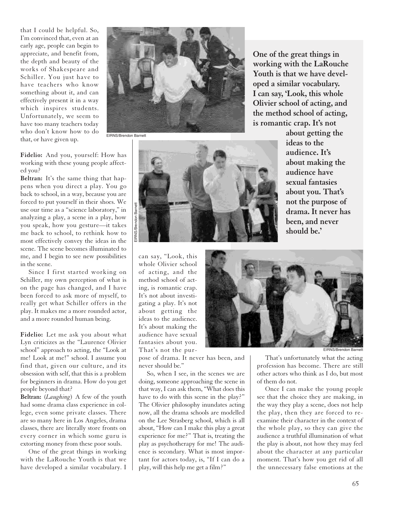that I could be helpful. So, I'm convinced that, even at an early age, people can begin to appreciate, and benefit from, the depth and beauty of the works of Shakespeare and Schiller. You just have to have teachers who know something about it, and can effectively present it in a way which inspires students. Unfortunately, we seem to have too many teachers today who don't know how to do that, or have given up.

**Fidelio:** And you, yourself: How has working with these young people affected you?

**Beltran:** It's the same thing that happens when you direct a play. You go back to school, in a way, because you are forced to put yourself in their shoes. We use our time as a "science laboratory," in analyzing a play, a scene in a play, how you speak, how you gesture—it takes me back to school, to rethink how to most effectively convey the ideas in the scene. The scene becomes illuminated to me, and I begin to see new possibilities in the scene.

Since I first started working on Schiller, my own perception of what is on the page has changed, and I have been forced to ask more of myself, to really get what Schiller offers in the play. It makes me a more rounded actor, and a more rounded human being.

**Fidelio:** Let me ask you about what Lyn criticizes as the "Laurence Olivier school" approach to acting, the "Look at me! Look at me!" school. I assume you find that, given our culture, and its obsession with self, that this is a problem for beginners in drama. How do you get people beyond that?

**Beltran:** (*Laughing*) A few of the youth had some drama class experience in college, even some private classes. There are so many here in Los Angeles, drama classes, there are literally store fronts on every corner in which some guru is extorting money from these poor souls.

One of the great things in working with the LaRouche Youth is that we have developed a similar vocabulary. I



**One of the great things in working with the LaRouche Youth is that we have developed a similar vocabulary. I can say, 'Look, this whole Olivier school of acting, and the method school of acting, is romantic crap. It's not** 



can say, "Look, this whole Olivier school of acting, and the method school of acting, is romantic crap. It's not about investigating a play. It's not about getting the ideas to the audience. It's about making the audience have sexual fantasies about you. That's not the pur-

pose of drama. It never has been, and never should be."

So, when I see, in the scenes we are doing, someone approaching the scene in that way, I can ask them, "What does this have to do with this scene in the play?" The Olivier philosophy inundates acting now, all the drama schools are modelled on the Lee Strasberg school, which is all about, "How can I make this play a great experience for me?" That is, treating the play as psychotherapy for me! The audience is secondary. What is most important for actors today, is, "If I can do a play, will this help me get a film?"

**about getting the ideas to the audience. It's about making the audience have sexual fantasies about you. That's not the purpose of drama. It never has been, and never should be.'**



of them do not.

That's unfortunately what the acting profession has become. There are still other actors who think as I do, but most

Once I can make the young people see that the choice they are making, in the way they play a scene, does not help the play, then they are forced to reexamine their character in the context of the whole play, so they can give the audience a truthful illumination of what the play is about, not how they may feel about the character at any particular moment. That's how you get rid of all the unnecessary false emotions at the